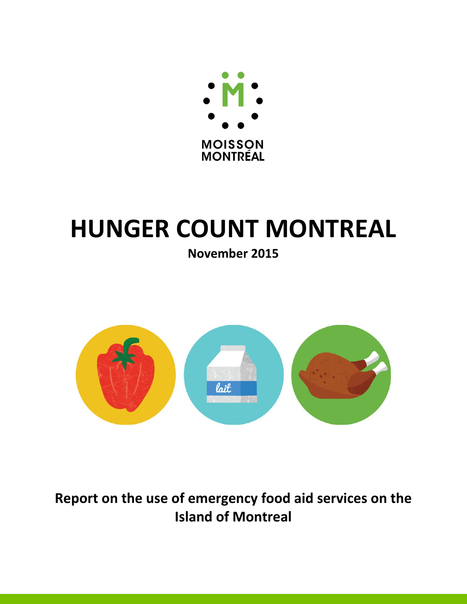

# **HUNGER COUNT MONTREAL**

**November 2015** 



**Report on the use of emergency food aid services on the Island of Montreal**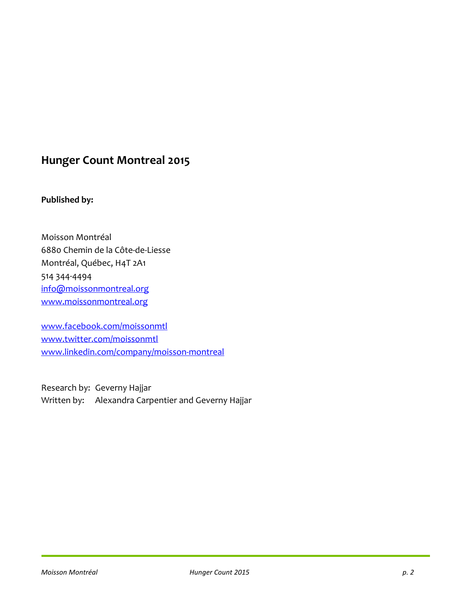# **Hunger Count Montreal 2015**

# **Published by:**

Moisson Montréal 6880 Chemin de la Côte-de-Liesse Montréal, Québec, H4T 2A1 514 344-4494 info@moissonmontreal.org www.moissonmontreal.org

www.facebook.com/moissonmtl www.twitter.com/moissonmtl www.linkedin.com/company/moisson-montreal

Research by: Geverny Hajjar Written by: Alexandra Carpentier and Geverny Hajjar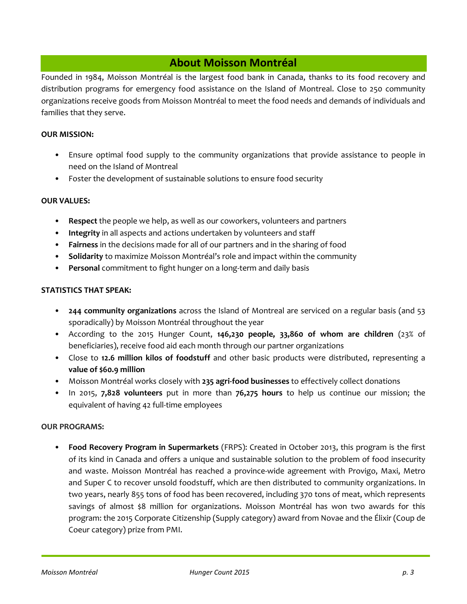# **About Moisson Montréal**

Founded in 1984, Moisson Montréal is the largest food bank in Canada, thanks to its food recovery and distribution programs for emergency food assistance on the Island of Montreal. Close to 250 community organizations receive goods from Moisson Montréal to meet the food needs and demands of individuals and families that they serve.

#### **OUR MISSION:**

- Ensure optimal food supply to the community organizations that provide assistance to people in need on the Island of Montreal
- Foster the development of sustainable solutions to ensure food security

#### **OUR VALUES:**

- **Respect** the people we help, as well as our coworkers, volunteers and partners
- **Integrity** in all aspects and actions undertaken by volunteers and staff
- **Fairness** in the decisions made for all of our partners and in the sharing of food
- **Solidarity** to maximize Moisson Montréal's role and impact within the community
- **Personal** commitment to fight hunger on a long-term and daily basis

#### **STATISTICS THAT SPEAK:**

- **244 community organizations** across the Island of Montreal are serviced on a regular basis (and 53 sporadically) by Moisson Montréal throughout the year
- According to the 2015 Hunger Count, **146,230 people, 33,860 of whom are children** (23% of beneficiaries), receive food aid each month through our partner organizations
- Close to **12.6 million kilos of foodstuff** and other basic products were distributed, representing a **value of \$60.9 million**
- Moisson Montréal works closely with **235 agri-food businesses** to effectively collect donations
- In 2015, **7,828 volunteers** put in more than **76,275 hours** to help us continue our mission; the equivalent of having 42 full-time employees

#### **OUR PROGRAMS:**

• **Food Recovery Program in Supermarkets** (FRPS): Created in October 2013, this program is the first of its kind in Canada and offers a unique and sustainable solution to the problem of food insecurity and waste. Moisson Montréal has reached a province-wide agreement with Provigo, Maxi, Metro and Super C to recover unsold foodstuff, which are then distributed to community organizations. In two years, nearly 855 tons of food has been recovered, including 370 tons of meat, which represents savings of almost \$8 million for organizations. Moisson Montréal has won two awards for this program: the 2015 Corporate Citizenship (Supply category) award from Novae and the Élixir (Coup de Coeur category) prize from PMI.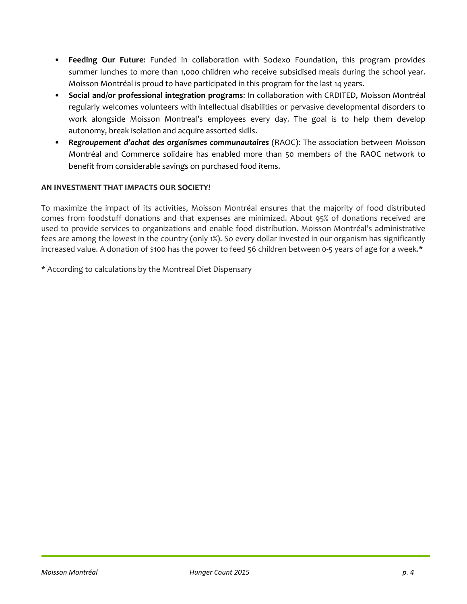- **Feeding Our Future**: Funded in collaboration with Sodexo Foundation, this program provides summer lunches to more than 1,000 children who receive subsidised meals during the school year. Moisson Montréal is proud to have participated in this program for the last 14 years.
- **Social and/or professional integration programs**: In collaboration with CRDITED, Moisson Montréal regularly welcomes volunteers with intellectual disabilities or pervasive developmental disorders to work alongside Moisson Montreal's employees every day. The goal is to help them develop autonomy, break isolation and acquire assorted skills.
- *Regroupement d'achat des organismes communautaires* (RAOC): The association between Moisson Montréal and Commerce solidaire has enabled more than 50 members of the RAOC network to benefit from considerable savings on purchased food items.

## **AN INVESTMENT THAT IMPACTS OUR SOCIETY!**

To maximize the impact of its activities, Moisson Montréal ensures that the majority of food distributed comes from foodstuff donations and that expenses are minimized. About 95% of donations received are used to provide services to organizations and enable food distribution. Moisson Montréal's administrative fees are among the lowest in the country (only 1%). So every dollar invested in our organism has significantly increased value. A donation of \$100 has the power to feed 56 children between 0-5 years of age for a week.\*

\* According to calculations by the Montreal Diet Dispensary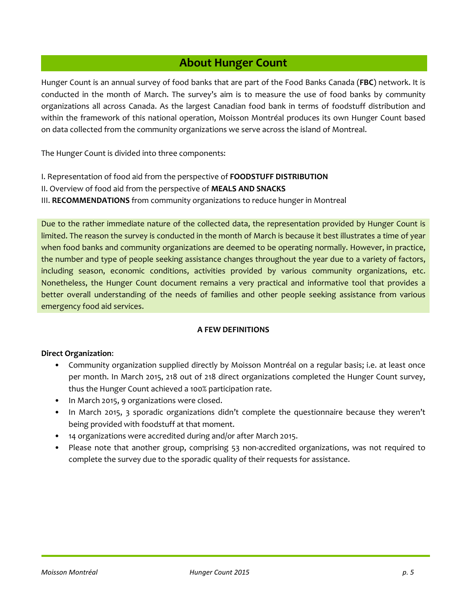# **About Hunger Count**

Hunger Count is an annual survey of food banks that are part of the Food Banks Canada (**FBC**) network. It is conducted in the month of March. The survey's aim is to measure the use of food banks by community organizations all across Canada. As the largest Canadian food bank in terms of foodstuff distribution and within the framework of this national operation, Moisson Montréal produces its own Hunger Count based on data collected from the community organizations we serve across the island of Montreal.

The Hunger Count is divided into three components:

- I. Representation of food aid from the perspective of **FOODSTUFF DISTRIBUTION**
- II. Overview of food aid from the perspective of **MEALS AND SNACKS**

III. **RECOMMENDATIONS** from community organizations to reduce hunger in Montreal

Due to the rather immediate nature of the collected data, the representation provided by Hunger Count is limited. The reason the survey is conducted in the month of March is because it best illustrates a time of year when food banks and community organizations are deemed to be operating normally. However, in practice, the number and type of people seeking assistance changes throughout the year due to a variety of factors, including season, economic conditions, activities provided by various community organizations, etc. Nonetheless, the Hunger Count document remains a very practical and informative tool that provides a better overall understanding of the needs of families and other people seeking assistance from various emergency food aid services.

#### **A FEW DEFINITIONS**

#### **Direct Organization**:

- Community organization supplied directly by Moisson Montréal on a regular basis; i.e. at least once per month. In March 2015, 218 out of 218 direct organizations completed the Hunger Count survey, thus the Hunger Count achieved a 100% participation rate.
- In March 2015, 9 organizations were closed.
- In March 2015, 3 sporadic organizations didn't complete the questionnaire because they weren't being provided with foodstuff at that moment.
- 14 organizations were accredited during and/or after March 2015.
- Please note that another group, comprising 53 non-accredited organizations, was not required to complete the survey due to the sporadic quality of their requests for assistance.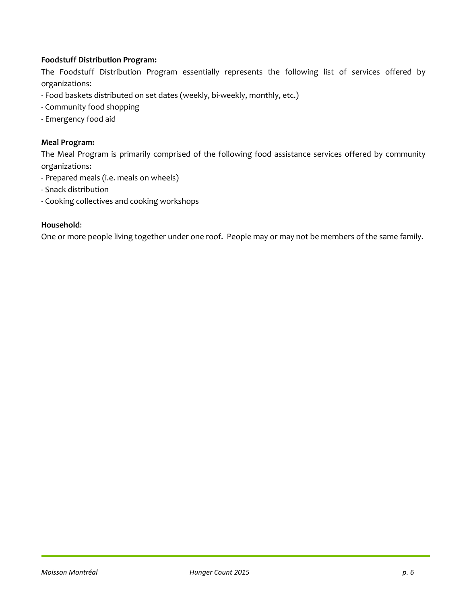## **Foodstuff Distribution Program:**

The Foodstuff Distribution Program essentially represents the following list of services offered by organizations:

- Food baskets distributed on set dates (weekly, bi-weekly, monthly, etc.)
- Community food shopping
- Emergency food aid

#### **Meal Program:**

The Meal Program is primarily comprised of the following food assistance services offered by community organizations:

- Prepared meals (i.e. meals on wheels)
- Snack distribution
- Cooking collectives and cooking workshops

#### **Household**:

One or more people living together under one roof. People may or may not be members of the same family.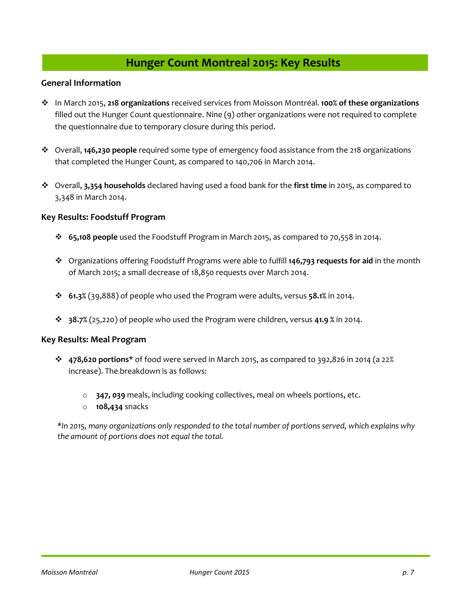# **Hunger Count Montreal 2015: Key Results**

#### **General Information**

- In March 2015, **218 organizations** received services from Moisson Montréal. **100% of these organizations** filled out the Hunger Count questionnaire. Nine (9) other organizations were not required to complete the questionnaire due to temporary closure during this period.
- Overall, **146,230 people** required some type of emergency food assistance from the 218 organizations that completed the Hunger Count, as compared to 140,706 in March 2014.
- Overall, **3,354 households** declared having used a food bank for the **first time** in 2015, as compared to 3,348 in March 2014.

#### **Key Results: Foodstuff Program**

- **65,108 people** used the Foodstuff Program in March 2015, as compared to 70,558 in 2014.
- Organizations offering Foodstuff Programs were able to fulfill **146,793 requests for aid** in the month of March 2015; a small decrease of 18,850 requests over March 2014.
- **61.3%** (39,888) of people who used the Program were adults, versus **58.1%** in 2014.
- **38.7%** (25,220) of people who used the Program were children, versus **41.9 %** in 2014.

#### **Key Results: Meal Program**

- **478,620 portions\*** of food were served in March 2015, as compared to 392,826 in 2014 (a 22% increase). The breakdown is as follows:
	- o **347, 039** meals, including cooking collectives, meal on wheels portions, etc.
	- o **108,434** snacks

*\*In 2015, many organizations only responded to the total number of portions served, which explains why the amount of portions does not equal the total.*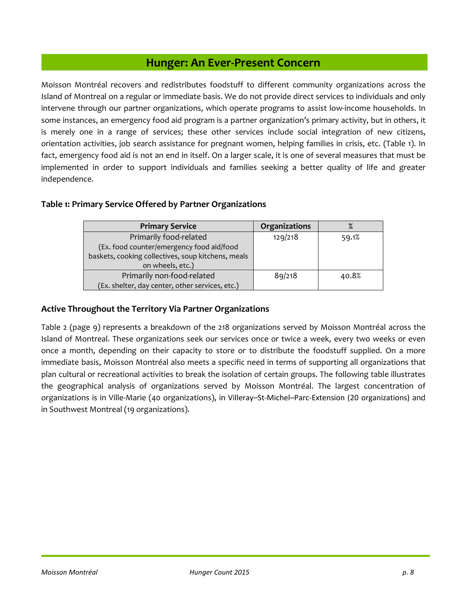# **Hunger: An Ever-Present Concern**

Moisson Montréal recovers and redistributes foodstuff to different community organizations across the Island of Montreal on a regular or immediate basis. We do not provide direct services to individuals and only intervene through our partner organizations, which operate programs to assist low-income households. In some instances, an emergency food aid program is a partner organization's primary activity, but in others, it is merely one in a range of services; these other services include social integration of new citizens, orientation activities, job search assistance for pregnant women, helping families in crisis, etc. (Table 1). In fact, emergency food aid is not an end in itself. On a larger scale, it is one of several measures that must be implemented in order to support individuals and families seeking a better quality of life and greater independence.

## **Table 1: Primary Service Offered by Partner Organizations**

| <b>Primary Service</b>                             | Organizations |       |
|----------------------------------------------------|---------------|-------|
| Primarily food-related                             | 129/218       | 59.1% |
| (Ex. food counter/emergency food aid/food          |               |       |
| baskets, cooking collectives, soup kitchens, meals |               |       |
| on wheels, etc.)                                   |               |       |
| Primarily non-food-related                         | 89/218        | 40.8% |
| (Ex. shelter, day center, other services, etc.)    |               |       |

## **Active Throughout the Territory Via Partner Organizations**

Table 2 (page 9) represents a breakdown of the 218 organizations served by Moisson Montréal across the Island of Montreal. These organizations seek our services once or twice a week, every two weeks or even once a month, depending on their capacity to store or to distribute the foodstuff supplied. On a more immediate basis, Moisson Montréal also meets a specific need in terms of supporting all organizations that plan cultural or recreational activities to break the isolation of certain groups. The following table illustrates the geographical analysis of organizations served by Moisson Montréal. The largest concentration of organizations is in Ville-Marie (40 organizations), in Villeray–St-Michel–Parc-Extension (20 organizations) and in Southwest Montreal (19 organizations).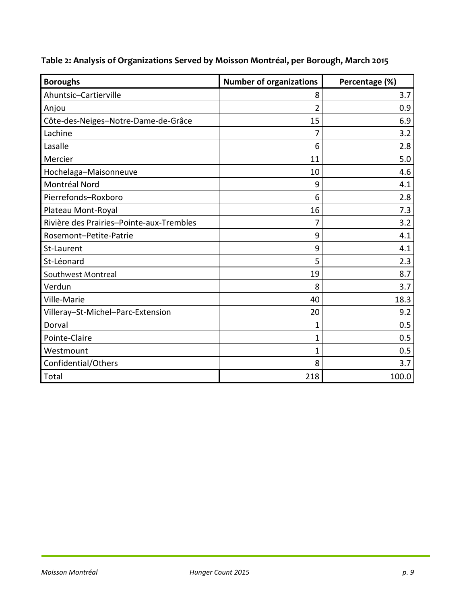| Table 2: Analysis of Organizations Served by Moisson Montréal, per Borough, March 2015 |  |  |
|----------------------------------------------------------------------------------------|--|--|
|----------------------------------------------------------------------------------------|--|--|

| <b>Boroughs</b>                          | <b>Number of organizations</b> | Percentage (%) |
|------------------------------------------|--------------------------------|----------------|
| Ahuntsic-Cartierville                    | 8                              | 3.7            |
| Anjou                                    | $\overline{2}$                 | 0.9            |
| Côte-des-Neiges-Notre-Dame-de-Grâce      | 15                             | 6.9            |
| Lachine                                  | 7                              | 3.2            |
| Lasalle                                  | 6                              | 2.8            |
| Mercier                                  | 11                             | 5.0            |
| Hochelaga-Maisonneuve                    | 10                             | 4.6            |
| Montréal Nord                            | 9                              | 4.1            |
| Pierrefonds-Roxboro                      | 6                              | 2.8            |
| Plateau Mont-Royal                       | 16                             | 7.3            |
| Rivière des Prairies-Pointe-aux-Trembles | 7                              | 3.2            |
| Rosemont-Petite-Patrie                   | 9                              | 4.1            |
| St-Laurent                               | 9                              | 4.1            |
| St-Léonard                               | 5                              | 2.3            |
| Southwest Montreal                       | 19                             | 8.7            |
| Verdun                                   | 8                              | 3.7            |
| Ville-Marie                              | 40                             | 18.3           |
| Villeray-St-Michel-Parc-Extension        | 20                             | 9.2            |
| Dorval                                   | 1                              | 0.5            |
| Pointe-Claire                            | 1                              | 0.5            |
| Westmount                                | 1                              | 0.5            |
| Confidential/Others                      | 8                              | 3.7            |
| Total                                    | 218                            | 100.0          |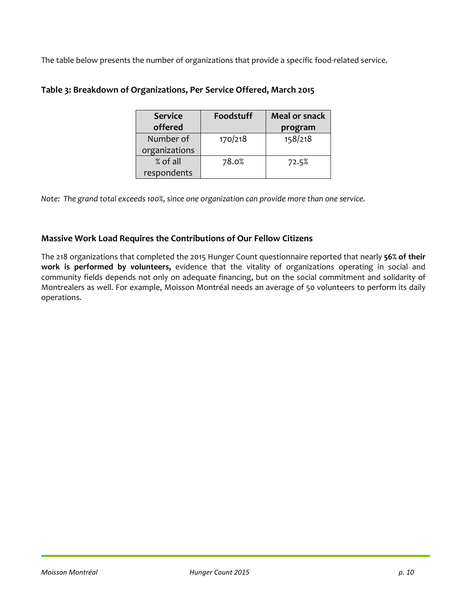The table below presents the number of organizations that provide a specific food-related service.

| <b>Service</b> | Foodstuff | <b>Meal or snack</b> |
|----------------|-----------|----------------------|
| offered        |           | program              |
| Number of      | 170/218   | 158/218              |
| organizations  |           |                      |
| % of all       | 78.0%     | 72.5%                |
| respondents    |           |                      |

## **Table 3: Breakdown of Organizations, Per Service Offered, March 2015**

*Note: The grand total exceeds 100%, since one organization can provide more than one service.* 

## **Massive Work Load Requires the Contributions of Our Fellow Citizens**

The 218 organizations that completed the 2015 Hunger Count questionnaire reported that nearly **56% of their work is performed by volunteers,** evidence that the vitality of organizations operating in social and community fields depends not only on adequate financing, but on the social commitment and solidarity of Montrealers as well. For example, Moisson Montréal needs an average of 50 volunteers to perform its daily operations.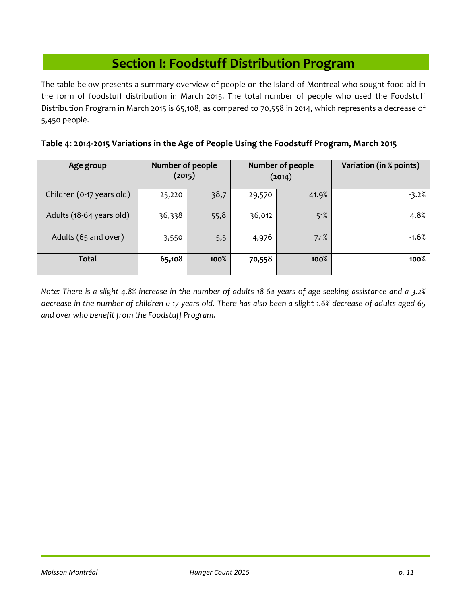# **Section I: Foodstuff Distribution Program**

The table below presents a summary overview of people on the Island of Montreal who sought food aid in the form of foodstuff distribution in March 2015. The total number of people who used the Foodstuff Distribution Program in March 2015 is 65,108, as compared to 70,558 in 2014, which represents a decrease of 5,450 people.

|  |  |  |  | Table 4: 2014-2015 Variations in the Age of People Using the Foodstuff Program, March 2015 |  |
|--|--|--|--|--------------------------------------------------------------------------------------------|--|
|--|--|--|--|--------------------------------------------------------------------------------------------|--|

| Age group                 | <b>Number of people</b><br>(2015) |      |        | Number of people<br>(2014) | Variation (in % points) |
|---------------------------|-----------------------------------|------|--------|----------------------------|-------------------------|
| Children (0-17 years old) | 25,220                            | 38,7 | 29,570 | 41.9%                      | $-3.2%$                 |
| Adults (18-64 years old)  | 36,338                            | 55,8 | 36,012 | 51%                        | 4.8%                    |
| Adults (65 and over)      | 3,550                             | 5,5  | 4,976  | 7.1%                       | $-1.6%$                 |
| Total                     | 65,108                            | 100% | 70,558 | 100%                       | 100%                    |

*Note: There is a slight 4.8% increase in the number of adults 18-64 years of age seeking assistance and a 3.2% decrease in the number of children 0-17 years old. There has also been a slight 1.6% decrease of adults aged 65 and over who benefit from the Foodstuff Program.*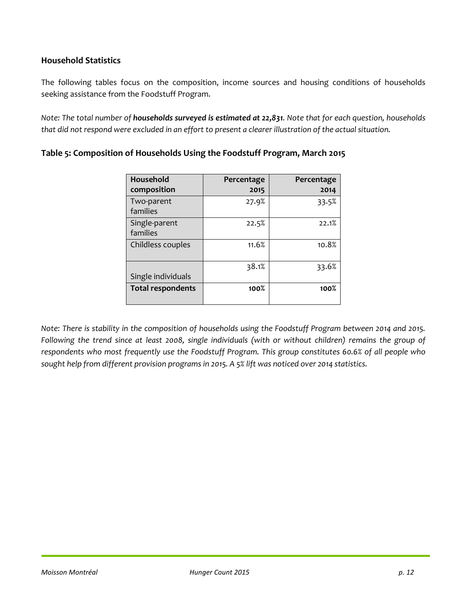## **Household Statistics**

The following tables focus on the composition, income sources and housing conditions of households seeking assistance from the Foodstuff Program.

*Note: The total number of households surveyed is estimated at 22,831. Note that for each question, households that did not respond were excluded in an effort to present a clearer illustration of the actual situation.* 

| Household<br>composition  | Percentage<br>2015 | Percentage<br>2014 |
|---------------------------|--------------------|--------------------|
| Two-parent<br>families    | 27.9%              | 33.5%              |
| Single-parent<br>families | 22.5%              | 22.1%              |
| Childless couples         | 11.6%              | 10.8%              |
| Single individuals        | 38.1%              | 33.6%              |
| <b>Total respondents</b>  | 100%               | 100%               |

## **Table 5: Composition of Households Using the Foodstuff Program, March 2015**

*Note: There is stability in the composition of households using the Foodstuff Program between 2014 and 2015. Following the trend since at least 2008, single individuals (with or without children) remains the group of respondents who most frequently use the Foodstuff Program. This group constitutes 60.6% of all people who sought help from different provision programs in 2015. A 5% lift was noticed over 2014 statistics.*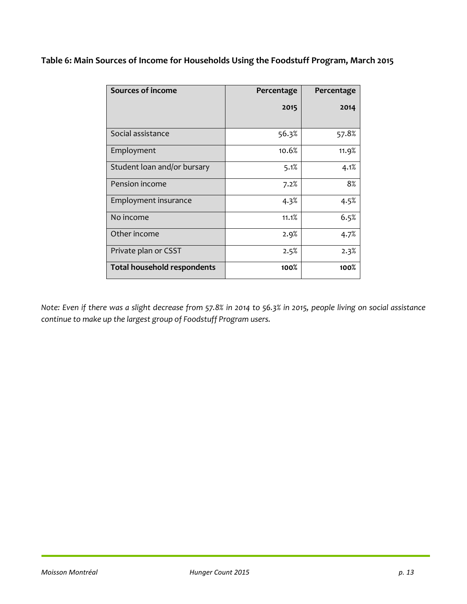**Table 6: Main Sources of Income for Households Using the Foodstuff Program, March 2015** 

| <b>Sources of income</b>           | Percentage | Percentage |
|------------------------------------|------------|------------|
|                                    | 2015       | 2014       |
| Social assistance                  | 56.3%      | 57.8%      |
| Employment                         | 10.6%      | 11.9%      |
| Student loan and/or bursary        | 5.1%       | 4.1%       |
| Pension income                     | 7.2%       | 8%         |
| Employment insurance               | 4.3%       | 4.5%       |
| No income                          | 11.1%      | 6.5%       |
| Other income                       | 2.9%       | 4.7%       |
| Private plan or CSST               | 2.5%       | 2.3%       |
| <b>Total household respondents</b> | 100%       | 100%       |

*Note: Even if there was a slight decrease from 57.8% in 2014 to 56.3% in 2015, people living on social assistance continue to make up the largest group of Foodstuff Program users.*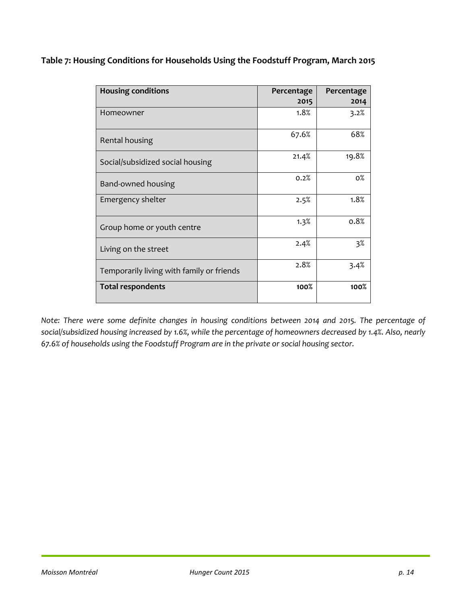**Table 7: Housing Conditions for Households Using the Foodstuff Program, March 2015** 

| <b>Housing conditions</b>                 | Percentage | Percentage |
|-------------------------------------------|------------|------------|
|                                           | 2015       | 2014       |
| Homeowner                                 | 1.8%       | 3.2%       |
| Rental housing                            | 67.6%      | 68%        |
| Social/subsidized social housing          | 21.4%      | 19.8%      |
| Band-owned housing                        | 0.2%       | $0\%$      |
| Emergency shelter                         | 2.5%       | 1.8%       |
| Group home or youth centre                | 1.3%       | 0.8%       |
| Living on the street                      | 2.4%       | $3\%$      |
| Temporarily living with family or friends | 2.8%       | 3.4%       |
| <b>Total respondents</b>                  | 100%       | 100%       |

*Note: There were some definite changes in housing conditions between 2014 and 2015. The percentage of social/subsidized housing increased by 1.6%, while the percentage of homeowners decreased by 1.4%. Also, nearly 67.6% of households using the Foodstuff Program are in the private or social housing sector.*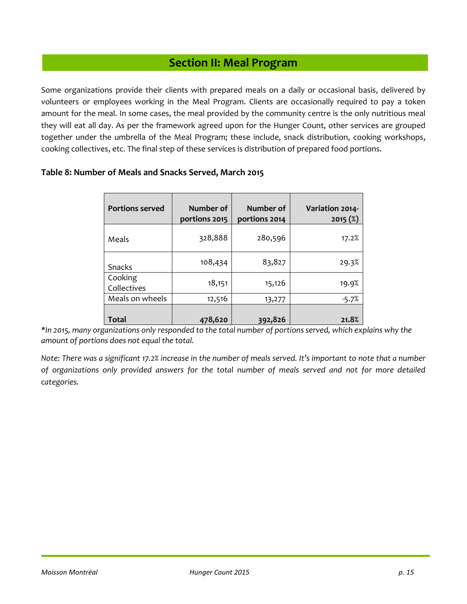# **Section II: Meal Program**

Some organizations provide their clients with prepared meals on a daily or occasional basis, delivered by volunteers or employees working in the Meal Program. Clients are occasionally required to pay a token amount for the meal. In some cases, the meal provided by the community centre is the only nutritious meal they will eat all day. As per the framework agreed upon for the Hunger Count, other services are grouped together under the umbrella of the Meal Program; these include, snack distribution, cooking workshops, cooking collectives, etc. The final step of these services is distribution of prepared food portions.

| <b>Portions served</b> | Number of<br>portions 2015 | Number of<br>portions 2014 | Variation 2014-<br>2015(%) |
|------------------------|----------------------------|----------------------------|----------------------------|
| Meals                  | 328,888                    | 280,596                    | 17.2%                      |
| Snacks                 | 108,434                    | 83,827                     | 29.3%                      |
| Cooking<br>Collectives | 18,151                     | 15,126                     | 19.9%                      |
| Meals on wheels        | 12,516                     | 13,277                     | $-5.7%$                    |
| Total                  | 478,620                    | 392,826                    | 21.8%                      |

## **Table 8: Number of Meals and Snacks Served, March 2015**

*\*In 2015, many organizations only responded to the total number of portions served, which explains why the amount of portions does not equal the total.* 

*Note: There was a significant 17.2% increase in the number of meals served. It's important to note that a number of organizations only provided answers for the total number of meals served and not for more detailed categories.*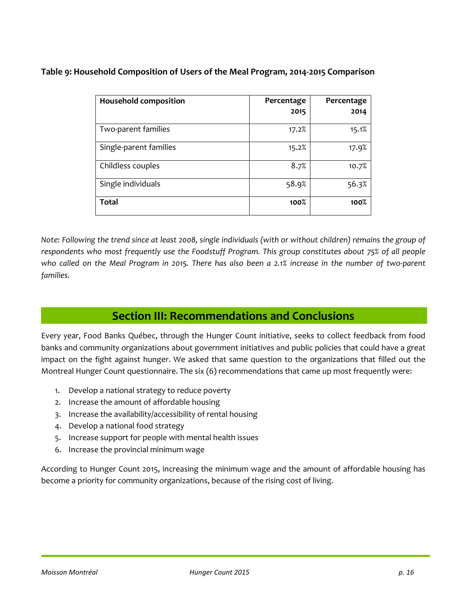## **Table 9: Household Composition of Users of the Meal Program, 2014-2015 Comparison**

| <b>Household composition</b> | Percentage<br>2015 | Percentage<br>2014 |
|------------------------------|--------------------|--------------------|
|                              |                    |                    |
| Two-parent families          | 17.2%              | 15.1%              |
| Single-parent families       | 15.2%              | 17.9%              |
| Childless couples            | 8.7%               | 10.7%              |
| Single individuals           | 58.9%              | 56.3%              |
| <b>Total</b>                 | 100%               | $100\%$            |

*Note: Following the trend since at least 2008, single individuals (with or without children) remains the group of respondents who most frequently use the Foodstuff Program. This group constitutes about 75% of all people who called on the Meal Program in 2015. There has also been a 2.1% increase in the number of two-parent families.* 

# **Section III: Recommendations and Conclusions**

Every year, Food Banks Québec, through the Hunger Count initiative, seeks to collect feedback from food banks and community organizations about government initiatives and public policies that could have a great impact on the fight against hunger. We asked that same question to the organizations that filled out the Montreal Hunger Count questionnaire. The six (6) recommendations that came up most frequently were:

- 1. Develop a national strategy to reduce poverty
- 2. Increase the amount of affordable housing
- 3. Increase the availability/accessibility of rental housing
- 4. Develop a national food strategy
- 5. Increase support for people with mental health issues
- 6. Increase the provincial minimum wage

According to Hunger Count 2015, increasing the minimum wage and the amount of affordable housing has become a priority for community organizations, because of the rising cost of living.